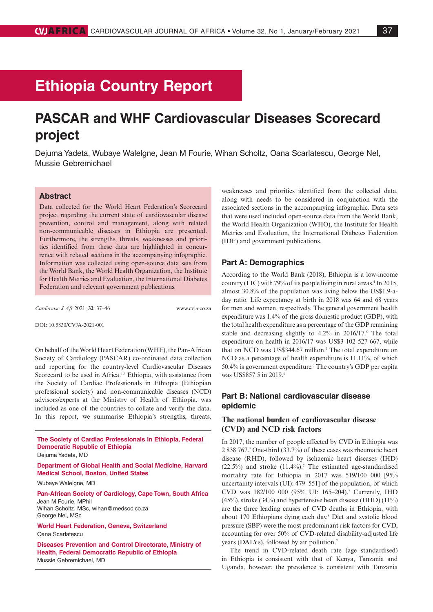# **Ethiopia Country Report**

## **PASCAR and WHF Cardiovascular Diseases Scorecard project**

Dejuma Yadeta, Wubaye Walelgne, Jean M Fourie, Wihan Scholtz, Oana Scarlatescu, George Nel, Mussie Gebremichael

## **Abstract**

Data collected for the World Heart Federation's Scorecard project regarding the current state of cardiovascular disease prevention, control and management, along with related non-communicable diseases in Ethiopia are presented. Furthermore, the strengths, threats, weaknesses and priorities identified from these data are highlighted in concurrence with related sections in the accompanying infographic. Information was collected using open-source data sets from the World Bank, the World Health Organization, the Institute for Health Metrics and Evaluation, the International Diabetes Federation and relevant government publications.

*Cardiovasc J Afr* 2021; **32**: 37–46 www.cvja.co.za

DOI: 10.5830/CVJA-2021-001

On behalf of the World Heart Federation (WHF), the Pan-African Society of Cardiology (PASCAR) co-ordinated data collection and reporting for the country-level Cardiovascular Diseases Scorecard to be used in Africa.<sup>1-3</sup> Ethiopia, with assistance from the Society of Cardiac Professionals in Ethiopia (Ethiopian professional society) and non-communicable diseases (NCD) advisors/experts at the Ministry of Health of Ethiopia, was included as one of the countries to collate and verify the data. In this report, we summarise Ethiopia's strengths, threats,

**The Society of Cardiac Professionals in Ethiopia, Federal Democratic Republic of Ethiopia**

Dejuma Yadeta, MD

**Department of Global Health and Social Medicine, Harvard Medical School, Boston, United States**

Wubaye Walelgne, MD

George Nel, MSc

**Pan-African Society of Cardiology, Cape Town, South Africa** Jean M Fourie, MPhil Wihan Scholtz, MSc, wihan@medsoc.co.za

**World Heart Federation, Geneva, Switzerland** Oana Scarlatescu

**Diseases Prevention and Control Directorate, Ministry of Health, Federal Democratic Republic of Ethiopia** Mussie Gebremichael, MD

weaknesses and priorities identified from the collected data, along with needs to be considered in conjunction with the associated sections in the accompanying infographic. Data sets that were used included open-source data from the World Bank, the World Health Organization (WHO), the Institute for Health Metrics and Evaluation, the International Diabetes Federation (IDF) and government publications.

### **Part A: Demographics**

According to the World Bank (2018), Ethiopia is a low-income country (LIC) with  $79\%$  of its people living in rural areas.<sup>4</sup> In 2015, almost 30.8% of the population was living below the US\$1.9-aday ratio. Life expectancy at birth in 2018 was 64 and 68 years for men and women, respectively. The general government health expenditure was 1.4% of the gross domestic product (GDP), with the total health expenditure as a percentage of the GDP remaining stable and decreasing slightly to  $4.2\%$  in  $2016/17$ .<sup>5</sup> The total expenditure on health in 2016/17 was US\$3 102 527 667, while that on NCD was US\$344.67 million.<sup>5</sup> The total expenditure on NCD as a percentage of health expenditure is  $11.11\%$ , of which 50.4% is government expenditure.<sup>5</sup> The country's GDP per capita was US\$857.5 in 2019.<sup>6</sup>

## **Part B: National cardiovascular disease epidemic**

## **The national burden of cardiovascular disease (CVD) and NCD risk factors**

In 2017, the number of people affected by CVD in Ethiopia was 2 838 767.7 One-third (33.7%) of these cases was rheumatic heart disease (RHD), followed by ischaemic heart diseases (IHD)  $(22.5\%)$  and stroke  $(11.4\%)$ .<sup>7</sup> The estimated age-standardised mortality rate for Ethiopia in 2017 was 519/100 000 [95% uncertainty intervals (UI): 479–551] of the population, of which CVD was 182/100 000 (95% UI: 165–204).7 Currently, IHD (45%), stroke (34%) and hypertensive heart disease (HHD) (11%) are the three leading causes of CVD deaths in Ethiopia, with about 170 Ethiopians dying each day.8 Diet and systolic blood pressure (SBP) were the most predominant risk factors for CVD, accounting for over 50% of CVD-related disability-adjusted life years (DALYs), followed by air pollution.<sup>7</sup>

The trend in CVD-related death rate (age standardised) in Ethiopia is consistent with that of Kenya, Tanzania and Uganda, however, the prevalence is consistent with Tanzania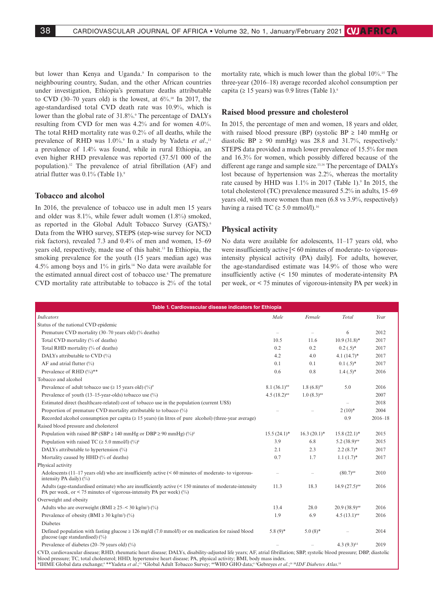but lower than Kenya and Uganda.<sup>9</sup> In comparison to the neighbouring country, Sudan, and the other African countries under investigation, Ethiopia's premature deaths attributable to CVD (30–70 years old) is the lowest, at  $6\%$ <sup>10</sup> In 2017, the age-standardised total CVD death rate was 10.9%, which is lower than the global rate of 31.8%.<sup>9</sup> The percentage of DALYs resulting from CVD for men was 4.2% and for women 4.0%. The total RHD mortality rate was 0.2% of all deaths, while the prevalence of RHD was 1.0%.<sup>9</sup> In a study by Yadeta *et al.*,<sup>11</sup> a prevalence of 1.4% was found, while in rural Ethiopia, an even higher RHD prevalence was reported (37.5/1 000 of the population).12 The prevalence of atrial fibrillation (AF) and atrial flutter was 0.1% (Table 1).9

## **Tobacco and alcohol**

In 2016, the prevalence of tobacco use in adult men 15 years and older was 8.1%, while fewer adult women (1.8%) smoked, as reported in the Global Adult Tobacco Survey (GATS).<sup>6</sup> Data from the WHO survey, STEPS (step-wise survey for NCD risk factors), revealed 7.3 and 0.4% of men and women, 15–69 years old, respectively, made use of this habit.13 In Ethiopia, the smoking prevalence for the youth (15 years median age) was 4.5% among boys and 1% in girls.14 No data were available for the estimated annual direct cost of tobacco use.6 The premature CVD mortality rate attributable to tobacco is 2% of the total

mortality rate, which is much lower than the global 10%.<sup>15</sup> The three-year (2016–18) average recorded alcohol consumption per capita ( $\geq$  15 years) was 0.9 litres (Table 1).<sup>6</sup>

#### **Raised blood pressure and cholesterol**

In 2015, the percentage of men and women, 18 years and older, with raised blood pressure (BP) (systolic BP  $\geq$  140 mmHg or diastolic BP  $\geq$  90 mmHg) was 28.8 and 31.7%, respectively.<sup>6</sup> STEPS data provided a much lower prevalence of 15.5% for men and 16.3% for women, which possibly differed because of the different age range and sample size.13,16 The percentage of DALYs lost because of hypertension was 2.2%, whereas the mortality rate caused by HHD was  $1.1\%$  in 2017 (Table 1).<sup>9</sup> In 2015, the total cholesterol (TC) prevalence measured 5.2% in adults, 15–69 years old, with more women than men (6.8 vs 3.9%, respectively) having a raised TC ( $\geq 5.0$  mmol/l).<sup>16</sup>

## **Physical activity**

No data were available for adolescents, 11–17 years old, who were insufficiently active [< 60 minutes of moderate- to vigorousintensity physical activity (PA) daily]. For adults, however, the age-standardised estimate was 14.9% of those who were insufficiently active (< 150 minutes of moderate-intensity PA per week, or < 75 minutes of vigorous-intensity PA per week) in

| Table 1. Cardiovascular disease indicators for Ethiopia                                                                                                                             |                |                          |                            |             |  |
|-------------------------------------------------------------------------------------------------------------------------------------------------------------------------------------|----------------|--------------------------|----------------------------|-------------|--|
| <b>Indicators</b>                                                                                                                                                                   | Male           | Female                   | Total                      | Year        |  |
| Status of the national CVD epidemic                                                                                                                                                 |                |                          |                            |             |  |
| Premature CVD mortality (30–70 years old) (% deaths)                                                                                                                                |                | $\equiv$                 | 6                          | 2012        |  |
| Total CVD mortality (% of deaths)                                                                                                                                                   | 10.5           | 11.6                     | $10.9(31.8)$ *             | 2017        |  |
| Total RHD mortality (% of deaths)                                                                                                                                                   | 0.2            | 0.2                      | $0.2(.5)^*$                | 2017        |  |
| DALYs attributable to CVD (%)                                                                                                                                                       | 4.2            | 4.0                      | $4.1(14.7)$ *              | 2017        |  |
| AF and atrial flutter $(\% )$                                                                                                                                                       | 0.1            | 0.1                      | $0.1(.5)^*$                | 2017        |  |
| Prevalence of RHD $(\%)$ **                                                                                                                                                         | 0.6            | 0.8                      | $1.4(.5)^*$                | 2016        |  |
| Tobacco and alcohol                                                                                                                                                                 |                |                          |                            |             |  |
| Prevalence of adult tobacco use ( $\geq 15$ years old) (%) <sup>#</sup>                                                                                                             | $8.1(36.1)$ ## | $1.8(6.8)$ ##            | 5.0                        | 2016        |  |
| Prevalence of youth $(13-15$ -year-olds) tobacco use $(\%)$                                                                                                                         | $4.5(18.2)$ ## | $1.0(8.3)$ <sup>##</sup> |                            | 2007        |  |
| Estimated direct (healthcare-related) cost of tobacco use in the population (current US\$)                                                                                          |                |                          |                            | 2018        |  |
| Proportion of premature CVD mortality attributable to tobacco (%)                                                                                                                   |                |                          | $2(10)*$                   | 2004        |  |
| Recorded alcohol consumption per capita ( $\geq 15$ years) (in litres of pure alcohol) (three-year average)                                                                         |                |                          | 0.9                        | $2016 - 18$ |  |
| Raised blood pressure and cholesterol                                                                                                                                               |                |                          |                            |             |  |
| Population with raised BP (SBP $\geq$ 140 mmHg or DBP $\geq$ 90 mmHg) (%) <sup>8</sup>                                                                                              | $15.5(24.1)^*$ | $16.3 (20.1)^*$          | $15.8(22.1)^*$             | 2015        |  |
| Population with raised TC ( $\geq 5.0$ mmol/l) (%) <sup><math>\delta</math></sup>                                                                                                   | 3.9            | 6.8                      | $5.2(38.9)$ ##             | 2015        |  |
| DALYs attributable to hypertension (%)                                                                                                                                              | 2.1            | 2.3                      | $2.2(8.7)$ *               | 2017        |  |
| Mortality caused by HHD (% of deaths)                                                                                                                                               | 0.7            | 1.7                      | $1.1(1.7)$ *               | 2017        |  |
| Physical activity                                                                                                                                                                   |                |                          |                            |             |  |
| Adolescents $(11-17 \text{ years})$ old) who are insufficiently active $(< 60 \text{ minutes})$ of moderate-to vigorous-<br>intensity PA daily) $(\% )$                             |                |                          | $(80.7)$ <sup>##</sup>     | 2010        |  |
| Adults (age-standardised estimate) who are insufficiently active $(< 150$ minutes of moderate-intensity<br>PA per week, or $\leq$ 75 minutes of vigorous-intensity PA per week) (%) | 11.3           | 18.3                     | $14.9(27.5)$ <sup>##</sup> | 2016        |  |
| Overweight and obesity                                                                                                                                                              |                |                          |                            |             |  |
| Adults who are overweight (BMI $\geq$ 25–< 30 kg/m <sup>2</sup> ) (%)                                                                                                               | 13.4           | 28.0                     | $20.9(38.9)$ <sup>##</sup> | 2016        |  |
| Prevalence of obesity (BMI $\geq$ 30 kg/m <sup>2</sup> ) (%)                                                                                                                        | 1.9            | 6.9                      | $4.5(13.1)$ ##             | 2016        |  |
| <b>Diabetes</b>                                                                                                                                                                     |                |                          |                            |             |  |
| Defined population with fasting glucose $\geq 126$ mg/dl (7.0 mmol/l) or on medication for raised blood<br>glucose (age standardised) $(\%)$                                        | $5.8(9)$ *     | $5.0(8)$ *               |                            | 2014        |  |
| Prevalence of diabetes (20–79 years old) $(\%)$                                                                                                                                     |                |                          | $4.3(9.3)^{8}$             | 2019        |  |
| CVD, cardiovascular disease; RHD, rheumatic heart disease; DALYs, disability-adjusted life years; AF, atrial fibrillation; SBP, systolic blood pressure; DBP, diastolic             |                |                          |                            |             |  |

blood pressure; TC, total cholesterol; HHD, hypertensive heart disease; PA, physical activity; BMI, body mass index. \*IHME Global data exchange;9 \*\*Yadeta *et al*.;'<sup>11</sup> #Global Adult Tobacco Survey; ##WHO GHO data;<sup>6</sup> \*Gebreyes *et al*.;'<sup>16 &</sup>I*DF Diabetes Atlas*.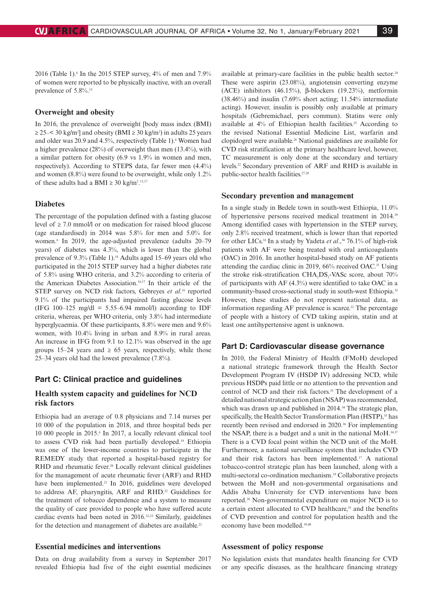2016 (Table 1).<sup>6</sup> In the 2015 STEP survey,  $4\%$  of men and  $7.9\%$ of women were reported to be physically inactive, with an overall prevalence of 5.8%.<sup>13</sup>

### **Overweight and obesity**

In 2016, the prevalence of overweight [body mass index (BMI)  $\geq$  25–< 30 kg/m<sup>2</sup>] and obesity (BMI  $\geq$  30 kg/m<sup>2</sup>) in adults 25 years and older was 20.9 and 4.5%, respectively (Table 1). Women had a higher prevalence (28%) of overweight than men (13.4%), with a similar pattern for obesity (6.9 vs 1.9% in women and men, respectively). According to STEPS data, far fewer men (4.4%) and women (8.8%) were found to be overweight, while only 1.2% of these adults had a BMI  $\geq 30 \text{ kg/m}^2$ <sup>13,17</sup>

## **Diabetes**

The percentage of the population defined with a fasting glucose level of ≥ 7.0 mmol/l or on medication for raised blood glucose (age standardised) in 2014 was 5.8% for men and 5.0% for women.6 In 2019, the age-adjusted prevalence (adults 20–79 years) of diabetes was 4.3%, which is lower than the global prevalence of 9.3% (Table 1).<sup>18</sup> Adults aged 15–69 years old who participated in the 2015 STEP survey had a higher diabetes rate of 5.8% using WHO criteria, and 3.2% according to criteria of the American Diabetes Association.<sup>16,17</sup> In their article of the STEP survey on NCD risk factors, Gebreyes *et al*. 16 reported 9.1% of the participants had impaired fasting glucose levels (IFG 100–125 mg/dl = 5.55–6.94 mmol/l) according to IDF criteria, whereas, per WHO criteria, only 3.8% had intermediate hyperglycaemia. Of these participants, 8.8% were men and 9.6% women, with 10.4% living in urban and 8.9% in rural areas. An increase in IFG from 9.1 to 12.1% was observed in the age groups 15–24 years and  $\geq 65$  years, respectively, while those 25–34 years old had the lowest prevalence (7.8%).

## **Part C: Clinical practice and guidelines**

## **Health system capacity and guidelines for NCD risk factors**

Ethiopia had an average of 0.8 physicians and 7.14 nurses per 10 000 of the population in 2018, and three hospital beds per 10 000 people in 2015.6 In 2017, a locally relevant clinical tool to assess CVD risk had been partially developed.19 Ethiopia was one of the lower-income countries to participate in the REMEDY study that reported a hospital-based registry for RHD and rheumatic fever.<sup>20</sup> Locally relevant clinical guidelines for the management of acute rheumatic fever (ARF) and RHD have been implemented.<sup>21</sup> In 2016, guidelines were developed to address AF, pharyngitis, ARF and RHD.<sup>22</sup> Guidelines for the treatment of tobacco dependence and a system to measure the quality of care provided to people who have suffered acute cardiac events had been noted in 2016.<sup>22,23</sup> Similarly, guidelines for the detection and management of diabetes are available.<sup>22</sup>

## **Essential medicines and interventions**

Data on drug availability from a survey in September 2017 revealed Ethiopia had five of the eight essential medicines available at primary-care facilities in the public health sector.<sup>24</sup> These were aspirin (23.08%), angiotensin converting enzyme (ACE) inhibitors (46.15%), β-blockers (19.23%), metformin (38.46%) and insulin (7.69% short acting; 11.54% intermediate acting). However, insulin is possibly only available at primary hospitals (Gebremichael, pers commun). Statins were only available at  $4\%$  of Ethiopian health facilities.<sup>25</sup> According to the revised National Essential Medicine List, warfarin and clopidogrel were available.26 National guidelines are available for CVD risk stratification at the primary healthcare level, however, TC measurement is only done at the secondary and tertiary levels.22 Secondary prevention of ARF and RHD is available in public-sector health facilities.<sup>27,28</sup>

#### **Secondary prevention and management**

In a single study in Bedele town in south-west Ethiopia, 11.0% of hypertensive persons received medical treatment in 2014.29 Among identified cases with hypertension in the STEP survey, only 2.8% received treatment, which is lower than that reported for other LICs.<sup>16</sup> In a study by Yadeta et al.,<sup>30</sup> 76.1% of high-risk patients with AF were being treated with oral anticoagulants (OAC) in 2016. In another hospital-based study on AF patients attending the cardiac clinic in 2019, 66% received OAC.31 Using the stroke risk-stratification CHA<sub>2</sub>DS<sub>2</sub>-VASc score, about 70% of participants with AF (4.3%) were identified to take OAC in a community-based cross-sectional study in south-west Ethiopia.32 However, these studies do not represent national data, as information regarding  $AF$  prevalence is scarce.<sup>32</sup> The percentage of people with a history of CVD taking aspirin, statin and at least one antihypertensive agent is unknown.

### **Part D: Cardiovascular disease governance**

In 2010, the Federal Ministry of Health (FMoH) developed a national strategic framework through the Health Sector Development Program IV (HSDP IV) addressing NCD, while previous HSDPs paid little or no attention to the prevention and control of NCD and their risk factors.<sup>33</sup> The development of a detailed national strategic action plan (NSAP) was recommended, which was drawn up and published in 2014.<sup>34</sup> The strategic plan, specifically, the Health Sector Transformation Plan (HSTP),<sup>35</sup> has recently been revised and endorsed in 2020.<sup>36</sup> For implementing the NSAP, there is a budget and a unit in the national MoH.<sup>34,37</sup> There is a CVD focal point within the NCD unit of the MoH. Furthermore, a national surveillance system that includes CVD and their risk factors has been implemented.17 A national tobacco-control strategic plan has been launched, along with a multi-sectoral co-ordination mechanism.19 Collaborative projects between the MoH and non-governmental organisations and Addis Ababa University for CVD interventions have been reported.38 Non-governmental expenditure on major NCD is to a certain extent allocated to CVD healthcare,<sup>35</sup> and the benefits of CVD prevention and control for population health and the economy have been modelled.<sup>39,40</sup>

### **Assessment of policy response**

No legislation exists that mandates health financing for CVD or any specific diseases, as the healthcare financing strategy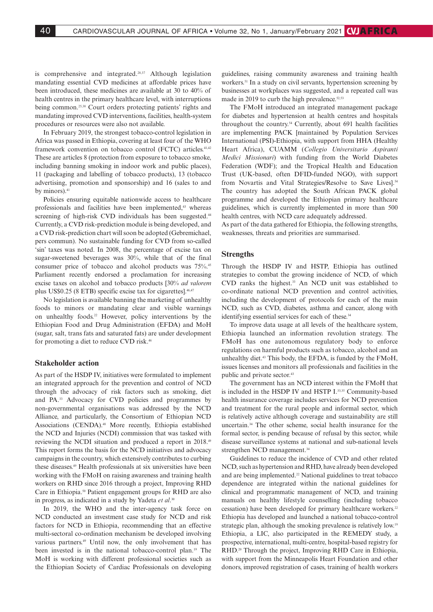is comprehensive and integrated.28,37 Although legislation mandating essential CVD medicines at affordable prices have been introduced, these medicines are available at 30 to 40% of health centres in the primary healthcare level, with interruptions being common.25,38 Court orders protecting patients' rights and mandating improved CVD interventions, facilities, health-system procedures or resources were also not available.

In February 2019, the strongest tobacco-control legislation in Africa was passed in Ethiopia, covering at least four of the WHO framework convention on tobacco control (FCTC) articles.<sup>41,42</sup> These are articles 8 (protection from exposure to tobacco smoke, including banning smoking in indoor work and public places), 11 (packaging and labelling of tobacco products), 13 (tobacco advertising, promotion and sponsorship) and 16 (sales to and by minors).<sup>41</sup>

Policies ensuring equitable nationwide access to healthcare professionals and facilities have been implemented,<sup>43</sup> whereas screening of high-risk CVD individuals has been suggested.<sup>44</sup> Currently, a CVD risk-prediction module is being developed, and a CVD risk-prediction chart will soon be adopted (Gebremichael, pers commun). No sustainable funding for CVD from so-called 'sin' taxes was noted. In 2008, the percentage of excise tax on sugar-sweetened beverages was 30%, while that of the final consumer price of tobacco and alcohol products was 75%.45 Parliament recently endorsed a proclamation for increasing excise taxes on alcohol and tobacco products [30% *ad valorem* plus US\$0.25 (8 ETB) specific excise tax for cigarettes].46,47

No legislation is available banning the marketing of unhealthy foods to minors or mandating clear and visible warnings on unhealthy foods.22 However, policy interventions by the Ethiopian Food and Drug Administration (EFDA) and MoH (sugar, salt, trans fats and saturated fats) are under development for promoting a diet to reduce CVD risk.46

## **Stakeholder action**

As part of the HSDP IV, initiatives were formulated to implement an integrated approach for the prevention and control of NCD through the advocacy of risk factors such as smoking, diet and PA.33 Advocacy for CVD policies and programmes by non-governmental organisations was addressed by the NCD Alliance, and particularly, the Consortium of Ethiopian NCD Associations (CENDA).<sup>48</sup> More recently, Ethiopia established the NCD and Injuries (NCDI) commission that was tasked with reviewing the NCDI situation and produced a report in 2018.49 This report forms the basis for the NCD initiatives and advocacy campaigns in the country, which extensively contributes to curbing these diseases.49 Health professionals at six universities have been working with the FMoH on raising awareness and training health workers on RHD since 2016 through a project, Improving RHD Care in Ethiopia.50 Patient engagement groups for RHD are also in progress, as indicated in a study by Yadeta *et al*. 30

In 2019, the WHO and the inter-agency task force on NCD conducted an investment case study for NCD and risk factors for NCD in Ethiopia, recommending that an effective multi-sectoral co-ordination mechanism be developed involving various partners.<sup>49</sup> Until now, the only involvement that has been invested is in the national tobacco-control plan.<sup>19</sup> The MoH is working with different professional societies such as the Ethiopian Society of Cardiac Professionals on developing

guidelines, raising community awareness and training health workers.<sup>51</sup> In a study on civil servants, hypertension screening by businesses at workplaces was suggested, and a repeated call was made in 2019 to curb the high prevalence. $52,53$ 

The FMoH introduced an integrated management package for diabetes and hypertension at health centres and hospitals throughout the country.<sup>54</sup> Currently, about 691 health facilities are implementing PACK [maintained by Population Services International (PSI)-Ethiopia, with support from HHA (Healthy Heart Africa), CUAMM (*Collegio Universitario Aspiranti Medici Missionari*) with funding from the World Diabetes Federation (WDF); and the Tropical Health and Education Trust (UK-based, often DFID-funded NGO), with support from Novartis and Vital Strategies/Resolve to Save Lives].<sup>54</sup> The country has adopted the South African PACK global programme and developed the Ethiopian primary healthcare guidelines, which is currently implemented in more than 500 health centres, with NCD care adequately addressed.

As part of the data gathered for Ethiopia, the following strengths, weaknesses, threats and priorities are summarised.

#### **Strengths**

Through the HSDP IV and HSTP, Ethiopia has outlined strategies to combat the growing incidence of NCD, of which CVD ranks the highest.33 An NCD unit was established to co-ordinate national NCD prevention and control activities, including the development of protocols for each of the main NCD, such as CVD, diabetes, asthma and cancer, along with identifying essential services for each of these.<sup>34</sup>

To improve data usage at all levels of the healthcare system, Ethiopia launched an information revolution strategy. The FMoH has one autonomous regulatory body to enforce regulations on harmful products such as tobacco, alcohol and an unhealthy diet.43 This body, the EFDA, is funded by the FMoH, issues licenses and monitors all professionals and facilities in the public and private sector.<sup>43</sup>

The government has an NCD interest within the FMoH that is included in the HSDP IV and HSTP I.<sup>33,35</sup> Community-based health insurance coverage includes services for NCD prevention and treatment for the rural people and informal sector, which is relatively active although coverage and sustainability are still uncertain.34 The other scheme, social health insurance for the formal sector, is pending because of refusal by this sector, while disease surveillance systems at national and sub-national levels strengthen NCD management.<sup>34</sup>

Guidelines to reduce the incidence of CVD and other related NCD, such as hypertension and RHD, have already been developed and are being implemented.22 National guidelines to treat tobacco dependence are integrated within the national guidelines for clinical and programmatic management of NCD, and training manuals on healthy lifestyle counselling (including tobacco cessation) have been developed for primary healthcare workers.<sup>22</sup> Ethiopia has developed and launched a national tobacco-control strategic plan, although the smoking prevalence is relatively low.<sup>19</sup> Ethiopia, a LIC, also participated in the REMEDY study, a prospective, international, multi-centre, hospital-based registry for RHD.<sup>20</sup> Through the project, Improving RHD Care in Ethiopia, with support from the Minneapolis Heart Foundation and other donors, improved registration of cases, training of health workers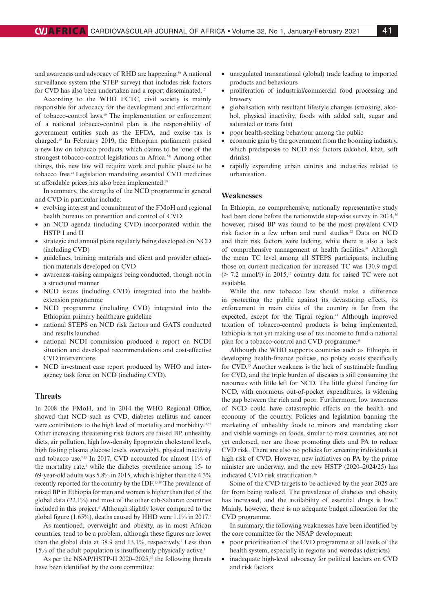and awareness and advocacy of RHD are happening.<sup>50</sup> A national surveillance system (the STEP survey) that includes risk factors for CVD has also been undertaken and a report disseminated.17

According to the WHO FCTC, civil society is mainly responsible for advocacy for the development and enforcement of tobacco-control laws.19 The implementation or enforcement of a national tobacco-control plan is the responsibility of government entities such as the EFDA, and excise tax is charged.19 In February 2019, the Ethiopian parliament passed a new law on tobacco products, which claims to be 'one of the strongest tobacco-control legislations in Africa.'41 Among other things, this new law will require work and public places to be tobacco free.41 Legislation mandating essential CVD medicines at affordable prices has also been implemented.38

In summary, the strengths of the NCD programme in general and CVD in particular include:

- evolving interest and commitment of the FMoH and regional health bureaus on prevention and control of CVD
- an NCD agenda (including CVD) incorporated within the HSTP I and II
- strategic and annual plans regularly being developed on NCD (including CVD)
- guidelines, training materials and client and provider education materials developed on CVD
- awareness-raising campaigns being conducted, though not in a structured manner
- NCD issues (including CVD) integrated into the healthextension programme
- NCD programme (including CVD) integrated into the Ethiopian primary healthcare guideline
- national STEPS on NCD risk factors and GATS conducted and results launched
- national NCDI commission produced a report on NCDI situation and developed recommendations and cost-effective CVD interventions
- NCD investment case report produced by WHO and interagency task force on NCD (including CVD).

## **Threats**

In 2008 the FMoH, and in 2014 the WHO Regional Office, showed that NCD such as CVD, diabetes mellitus and cancer were contributors to the high level of mortality and morbidity.<sup>33,55</sup> Other increasing threatening risk factors are raised BP, unhealthy diets, air pollution, high low-density lipoprotein cholesterol levels, high fasting plasma glucose levels, overweight, physical inactivity and tobacco use.<sup>7,55</sup> In 2017, CVD accounted for almost 11% of the mortality rate,<sup>9</sup> while the diabetes prevalence among 15- to 69-year-old adults was 5.8% in 2015, which is higher than the 4.3% recently reported for the country by the IDF.13,18 The prevalence of raised BP in Ethiopia for men and women is higher than that of the global data (22.1%) and most of the other sub-Saharan countries included in this project.<sup>6</sup> Although slightly lower compared to the global figure (1.65%), deaths caused by HHD were  $1.1\%$  in 2017.<sup>9</sup>

As mentioned, overweight and obesity, as in most African countries, tend to be a problem, although these figures are lower than the global data at 38.9 and 13.1%, respectively.<sup>6</sup> Less than 15% of the adult population is insufficiently physically active.6

As per the NSAP/HSTP-II 2020–2025,<sup>36</sup> the following threats have been identified by the core committee:

- unregulated transnational (global) trade leading to imported products and behaviours
- proliferation of industrial/commercial food processing and brewery
- globalisation with resultant lifestyle changes (smoking, alcohol, physical inactivity, foods with added salt, sugar and saturated or trans fats)
- poor health-seeking behaviour among the public
- economic gain by the government from the booming industry, which predisposes to NCD risk factors (alcohol, khat, soft drinks)
- rapidly expanding urban centres and industries related to urbanisation.

## **Weaknesses**

In Ethiopia, no comprehensive, nationally representative study had been done before the nationwide step-wise survey in 2014,<sup>55</sup> however, raised BP was found to be the most prevalent CVD risk factor in a few urban and rural studies.<sup>22</sup> Data on NCD and their risk factors were lacking, while there is also a lack of comprehensive management at health facilities.<sup>34</sup> Although the mean TC level among all STEPS participants, including those on current medication for increased TC was 130.9 mg/dl  $(> 7.2 \text{ mmol/l})$  in 2015,<sup>17</sup> country data for raised TC were not available.

While the new tobacco law should make a difference in protecting the public against its devastating effects, its enforcement in main cities of the country is far from the expected, except for the Tigrai region.<sup>41</sup> Although improved taxation of tobacco-control products is being implemented, Ethiopia is not yet making use of tax income to fund a national plan for a tobacco-control and CVD programme.<sup>56</sup>

Although the WHO supports countries such as Ethiopia in developing health-finance policies, no policy exists specifically for CVD.<sup>55</sup> Another weakness is the lack of sustainable funding for CVD, and the triple burden of diseases is still consuming the resources with little left for NCD. The little global funding for NCD, with enormous out-of-pocket expenditures, is widening the gap between the rich and poor. Furthermore, low awareness of NCD could have catastrophic effects on the health and economy of the country. Policies and legislation banning the marketing of unhealthy foods to minors and mandating clear and visible warnings on foods, similar to most countries, are not yet endorsed, nor are those promoting diets and PA to reduce CVD risk. There are also no policies for screening individuals at high risk of CVD. However, new initiatives on PA by the prime minister are underway, and the new HSTP (2020–2024/25) has indicated CVD risk stratification.36

Some of the CVD targets to be achieved by the year 2025 are far from being realised. The prevalence of diabetes and obesity has increased, and the availability of essential drugs is low.<sup>57</sup> Mainly, however, there is no adequate budget allocation for the CVD programme.

In summary, the following weaknesses have been identified by the core committee for the NSAP development:

- poor prioritisation of the CVD programme at all levels of the health system, especially in regions and woredas (districts)
- inadequate high-level advocacy for political leaders on CVD and risk factors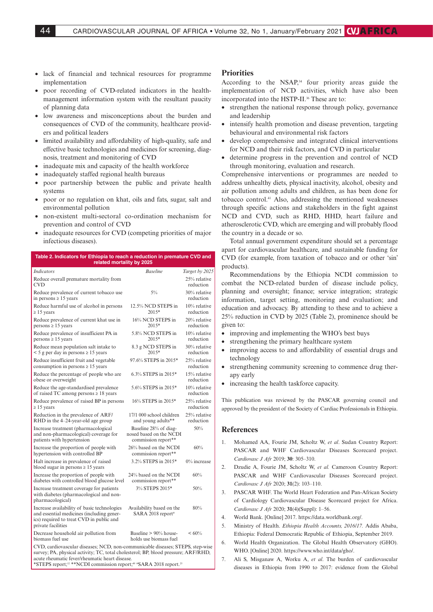- lack of financial and technical resources for programme implementation
- poor recording of CVD-related indicators in the healthmanagement information system with the resultant paucity of planning data
- low awareness and misconceptions about the burden and consequences of CVD of the community, healthcare providers and political leaders
- limited availability and affordability of high-quality, safe and effective basic technologies and medicines for screening, diagnosis, treatment and monitoring of CVD
- inadequate mix and capacity of the health workforce
- inadequately staffed regional health bureaus
- poor partnership between the public and private health systems
- poor or no regulation on khat, oils and fats, sugar, salt and environmental pollution
- non-existent multi-sectoral co-ordination mechanism for prevention and control of CVD
- inadequate resources for CVD (competing priorities of major infectious diseases).

#### **Table 2. Indicators for Ethiopia to reach a reduction in premature CVD and related mortality by 2025**

| <b>Indicators</b>                                                                                                                                                                                                      | <b>Baseline</b>                                                         | Target by 2025               |  |  |
|------------------------------------------------------------------------------------------------------------------------------------------------------------------------------------------------------------------------|-------------------------------------------------------------------------|------------------------------|--|--|
| Reduce overall premature mortality from<br><b>CVD</b>                                                                                                                                                                  |                                                                         | 25% relative<br>reduction    |  |  |
| Reduce prevalence of current tobacco use<br>in persons $\geq 15$ years                                                                                                                                                 | $5\%$                                                                   | 30% relative<br>reduction    |  |  |
| Reduce harmful use of alcohol in persons<br>$\geq$ 15 years                                                                                                                                                            | 12.5% NCD STEPS in<br>$2015*$                                           | 10% relative<br>reduction    |  |  |
| Reduce prevalence of current khat use in<br>$persons \geq 15$ years                                                                                                                                                    | 16% NCD STEPS in<br>$2015*$                                             | 20% relative<br>reduction    |  |  |
| Reduce prevalence of insufficient PA in<br>$persons \ge 15$ years                                                                                                                                                      | 5.8% NCD STEPS in<br>$2015*$                                            | $10\%$ relative<br>reduction |  |  |
| Reduce mean population salt intake to<br>$<$ 5 g per day in persons $\ge$ 15 years                                                                                                                                     | 8.3 g NCD STEPS in<br>$2015*$                                           | 30% relative<br>reduction    |  |  |
| Reduce insufficient fruit and vegetable<br>consumption in persons $\geq 15$ years                                                                                                                                      | 97.6% STEPS in 2015*                                                    | 25% relative<br>reduction    |  |  |
| Reduce the percentage of people who are<br>obese or overweight                                                                                                                                                         | 6.3% STEPS in 2015*                                                     | 15% relative<br>reduction    |  |  |
| Reduce the age-standardised prevalence<br>of raised TC among persons $\geq 18$ years                                                                                                                                   | 5.6% STEPS in 2015*                                                     | $10\%$ relative<br>reduction |  |  |
| Reduce prevalence of raised BP in persons<br>$\geq 15$ years                                                                                                                                                           | 16% STEPS in 2015*                                                      | 25% relative<br>reduction    |  |  |
| Reduction in the prevalence of ARF/<br>RHD in the 4-24-year-old age group                                                                                                                                              | 17/1 000 school children<br>and young adults**                          | 25% relative<br>reduction    |  |  |
| Increase treatment (pharmacological<br>and non-pharmacological) coverage for<br>patients with hypertension                                                                                                             | Baseline 28% of diag-<br>nosed based on the NCDI<br>commission report** | 50%                          |  |  |
| Increase the proportion of people with<br>hypertension with controlled BP                                                                                                                                              | 26% based on the NCDI<br>commission report**                            | 60%                          |  |  |
| Halt increase in prevalence of raised<br>blood sugar in persons $\geq 15$ years                                                                                                                                        | 3.2% STEPS in 2015*                                                     | $0\%$ increase               |  |  |
| Increase the proportion of people with<br>diabetes with controlled blood glucose level                                                                                                                                 | 24% based on the NCDI<br>commission report**                            | 60%                          |  |  |
| Increase treatment coverage for patients<br>with diabetes (pharmacological and non-<br>pharmacological)                                                                                                                | 3% STEPS 2015*                                                          | 50%                          |  |  |
| Increase availability of basic technologies<br>and essential medicines (including gener-<br>ics) required to treat CVD in public and<br>private facilities                                                             | Availability based on the<br>SARA 2018 report#                          | 80%                          |  |  |
| Decrease household air pollution from<br>biomass fuel use                                                                                                                                                              | Baseline $> 90\%$ house-<br>holds use biomass fuel                      | $< 60\%$                     |  |  |
| CVD, cardiovascular diseases; NCD, non-communicable diseases; STEPS, step-wise<br>survey; PA, physical activity; TC, total cholesterol; BP, blood pressure; ARF/RHD,<br>acute rheumatic fever/rheumatic heart disease. |                                                                         |                              |  |  |

\*STEPS report;<sup>12</sup> \*\* NCDI commission report;<sup>49</sup> #SARA 2018 report.<sup>25</sup>

#### **Priorities**

According to the NSAP,<sup>34</sup> four priority areas guide the implementation of NCD activities, which have also been incorporated into the HSTP-II.<sup>36</sup> These are to:

- strengthen the national response through policy, governance and leadership
- intensify health promotion and disease prevention, targeting behavioural and environmental risk factors
- develop comprehensive and integrated clinical interventions for NCD and their risk factors, and CVD in particular
- determine progress in the prevention and control of NCD through monitoring, evaluation and research.

Comprehensive interventions or programmes are needed to address unhealthy diets, physical inactivity, alcohol, obesity and air pollution among adults and children, as has been done for tobacco control.41 Also, addressing the mentioned weaknesses through specific actions and stakeholders in the fight against NCD and CVD, such as RHD, HHD, heart failure and atherosclerotic CVD, which are emerging and will probably flood the country in a decade or so.

Total annual government expenditure should set a percentage apart for cardiovascular healthcare, and sustainable funding for CVD (for example, from taxation of tobacco and or other 'sin' products).

Recommendations by the Ethiopia NCDI commission to combat the NCD-related burden of disease include policy, planning and oversight; finance; service integration; strategic information, target setting, monitoring and evaluation; and education and advocacy. By attending to these and to achieve a 25% reduction in CVD by 2025 (Table 2), prominence should be given to:

- improving and implementing the WHO's best buys
- strengthening the primary healthcare system
- improving access to and affordability of essential drugs and technology
- strengthening community screening to commence drug therapy early
- increasing the health taskforce capacity.

This publication was reviewed by the PASCAR governing council and approved by the president of the Society of Cardiac Professionals in Ethiopia.

#### **References**

- 1. Mohamed AA, Fourie JM, Scholtz W, *et al*. Sudan Country Report: PASCAR and WHF Cardiovascular Diseases Scorecard project. *Cardiovasc J Afr* 2019; **30**: 305–310.
- 2. Dzudie A, Fourie JM, Scholtz W, *et al.* Cameroon Country Report: PASCAR and WHF Cardiovascular Diseases Scorecard project. *Cardiovasc J Afr* 2020; **31**(2): 103–110.
- 3. PASCAR WHF. The World Heart Federation and Pan-African Society of Cardiology Cardiovascular Disease Scorecard project for Africa. *Cardiovasc J Afr* 2020; **31**(4)(Suppl): 1–56.
- 4. World Bank. [Online] 2017. https://data.worldbank.org/.
- 5. Ministry of Health. *Ethiopia Health Accounts, 2016/17.* Addis Ababa, Ethiopia: Federal Democratic Republic of Ethiopia, September 2019.
- 6. World Health Organization. The Global Health Observatory (GHO). WHO. [Online] 2020. https://www.who.int/data/gho/.
- 7. Ali S, Misganaw A, Worku A, *et al*. The burden of cardiovascular diseases in Ethiopia from 1990 to 2017: evidence from the Global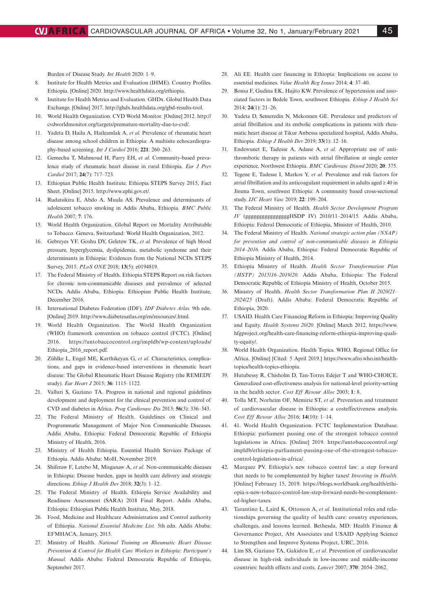Burden of Disease Study. *Int Health* 2020: 1–9.

- 8. Institute for Health Metrics and Evaluation (IHME). Country Profiles. Ethiopia. [Online] 2020. http://www.healthdata.org/ethiopia.
- 9. Institute for Health Metrics and Evaluation. GHDx. Global Health Data Exchange. [Online] 2017. http://ghdx.healthdata.org/gbd-results-tool.
- 10. World Health Organization. CVD World Monitor*.* [Online] 2012. http:// cvdworldmonitor.org/targets/premature-mortality-due-to-cvd/.
- 11. Yadeta D, Hailu A, Haileamlak A, *et al*. Prevalence of rheumatic heart disease among school children in Ethiopia: A multisite echocardiography-based screening. *Int J Cardiol* 2016; **221**: 260–263.
- 12. Gemechu T, Mahmoud H, Parry EH, *et al*. Community-based prevalence study of rheumatic heart disease in rural Ethiopia. *Eur J Prev Cardiol* 2017; **24**(7): 717–723.
- 13. Ethiopian Public Health Institute. Ethiopia STEPS Survey 2015, Fact Sheet. [Online] 2015. http://www.ephi.gov.et/.
- 14. Rudatsikira E, Abdo A, Muula AS. Prevalence and determinants of adolescent tobacco smoking in Addis Ababa, Ethiopia. *BMC Public Health* 2007; **7**: 176.
- 15. World Health Organization. Global Report on Mortality Attributable to Tobacco*.* Geneva, Switzerland: World Health Organization, 2012.
- 16. Gebreyes YF, Goshu DY, Geletew TK, *et al.* Prevalence of high blood pressure, hyperglycemia, dyslipidemia, metabolic syndrome and their determinants in Ethiopia: Evidences from the National NCDs STEPS Survey, 2015. *PLoS ONE* 2018; **13**(5): e0194819.
- 17. The Federal Ministry of Health. Ethiopia STEPS Report on risk factors for chronic non-communicable diseases and prevalence of selected NCDs. Addis Ababa, Ethiopia: Ethiopian Public Health Institute, December 2016.
- 18. International Diabetes Federation (IDF). *IDF Diabetes Atlas.* 9th edn. [Online] 2019. http://www.diabetesatlas.org/en/resources/.html.
- 19. World Health Organization. The World Health Organization (WHO) framework convention on tobacco control (FCTC). [Online] 2016. https://untobaccocontrol.org/impldb/wp-content/uploads/ Ethiopia\_2016\_report.pdf.
- 20. Zühlke L, Engel ME, Karthikeyan G, *et al.* Characteristics, complications, and gaps in evidence-based interventions in rheumatic heart disease: The Global Rheumatic Heart Disease Registry (the REMEDY study). *Eur Heart J* 2015; **36**: 1115–1122.
- 21. Valluri S, Gaziano TA. Progress in national and regional guidelines development and deployment for the clinical prevention and control of CVD and diabetes in Africa. *Prog Cardiovasc Dis* 2013; **56**(3): 336–343.
- 22. The Federal Ministry of Health. Guidelines on Clinical and Programmatic Management of Major Non Communicable Diseases. Addis Ababa, Ethiopia: Federal Democratic Republic of Ethiopia Ministry of Health, 2016.
- 23. Ministry of Health Ethiopia. Essential Health Services Package of Ethiopia. Addis Ababa: MoH, November 2019.
- 24. Shiferaw F, Letebo M, Misganaw A, *et al*. Non-communicable diseases in Ethiopia: Disease burden, gaps in health care delivery and strategic directions. *Ethiop J Health Dev* 2018; **32**(3): 1–12.
- 25. The Federal Ministry of Health. Ethiopia Service Availability and Readiness Assessment (SARA) 2018 Final Report. Addis Ababa, Ethiopia: Ethiopian Public Health Institute, May, 2018.
- 26. Food, Medicine and Healthcare Administration and Control authority of Ethiopia. *National Essential Medicine List.* 5th edn. Addis Ababa: EFMHACA, January, 2015.
- 27. Ministry of Health. *National Training on Rheumatic Heart Disease Prevention & Control for Health Care Workers in Ethiopia: Participant's Manual.* Addis Ababa: Federal Democratic Republic of Ethiopia, September 2017.
- 28. Ali EE. Health care financing in Ethiopia: Implications on access to essential medicines. *Value Health Reg Issues* 2014; **4**: 37–40.
- 29. Bonsa F, Gudina EK, Hajito KW. Prevalence of hypertension and associated factors in Bedele Town, southwest Ethiopia. *Ethiop J Health Sci*  2014; **24**(1): 21–26.
- 30. Yadeta D, Semeredin N, Mekonnen GE. Prevalence and predictors of atrial fibrillation and its embolic complications in patients with rheumatic heart disease at Tikur Anbessa specialized hospital, Addis Ababa, Ethiopia. *Ethiop J Health Dev* 2019; **33**(1): 12–16.
- 31. Endewunet E, Tadesse A, Adane A, *et al.* Appropriate use of antithrombotic therapy in patients with atrial fibrillation at single center experience, Northwest Ethiopia. *BMC Cardiovasc Disord* 2020; **20**: 375.
- 32. Tegene E, Tadesse I, Markos Y, *et al*. Prevalence and risk factors for atrial fibrillation and its anticoagulant requirement in adults aged ≥ 40 in Jimma Town, southwest Ethiopia: A community based cross-sectional study. *IJC Heart Vasc* 2019; **22**: 199–204.
- 33. The Federal Ministry of Health. *Health Sector Development Program IV* (ggggggggggggggggHSDP IV) 2010/11–2014/15*.* Addis Ababa, Ethiopia: Federal Democratic of Ethiopia, Minister of Health, 2010.
- 34. The Federal Ministry of Health. *National strategic action plan (NSAP) for prevention and control of non-communicable diseases in Ethiopia 2014–2016.* Addis Ababa, Ethiopia: Federal Democratic Republic of Ethiopia Ministry of Health, 2014.
- 35. Ethiopia Ministry of Health. *Health Sector Transformation Plan (HSTP) 2015/16–2019/20.* Addis Ababa, Ethiopia: The Federal Democratic Republic of Ethiopia Ministry of Health, October 2015.
- 36. Ministry of Health. *Health Sector Transformation Plan II 2020/21– 2024/25* (Draft). Addis Ababa: Federal Democratic Republic of Ethiopia, 2020.
- 37. USAID. Health Care Financing Reform in Ethiopia: Improving Quality and Equity. *Health Systems 20/20.* [Online] March 2012. https://www. hfgproject.org/health-care-financing-reform-ethiopia-improving-quality-equity/.
- 38. World Health Organization. Health Topics. WHO, Regional Office for Africa. [Online] [Cited: 5 April 2019.] https://www.afro.who.int/healthtopics/health-topics-ethiopia.
- 39. Hutubessy R, Chisholm D, Tan-Torres Edejer T and WHO-CHOICE. Generalized cost-effectiveness analysis for national-level priority-setting in the health sector. *Cost Eff Resour Alloc* 2003; **1**: 8.
- 40. Tolla MT, Norheim OF, Memirie ST, *et al*. Prevention and treatment of cardiovascular disease in Ethiopia: a costeffectiveness analysis. *Cost Eff Resour Alloc* 2016; **14**(10): 1–14.
- 41. 41. World Health Organization. FCTC Implementation Database. Ethiopia: parliament passing one of the strongest tobacco control legislations in Africa. [Online] 2019. https://untobaccocontrol.org/ impldb/ethiopia-parliament-passing-one-of-the-strongest-tobaccocontrol-legislations-in-africa/.
- 42. Marquez PV. Ethiopia's new tobacco control law: a step forward that needs to be complemented by higher taxes! *Investing in Health.*  [Online] February 15, 2019. https://blogs.worldbank.org/health/ethiopia-s-new-tobacco-control-law-step-forward-needs-be-complemented-higher-taxes.
- 43. Tarantino L, Laird K, Ottosson A, *et al*. Institutional roles and relationships governing the quality of health care: country experiences, challenges, and lessons learned. Bethesda, MD: Health Finance & Governance Project, Abt Associates and USAID Applying Science to Strengthen and Improve Systems Project, URC, 2016.
- 44. Lim SS, Gaziano TA, Gakidou E, *et al*. Prevention of cardiovascular disease in high-risk individuals in low-income and middle-income countries: health effects and costs. *Lancet* 2007; **370**: 2054–2062.